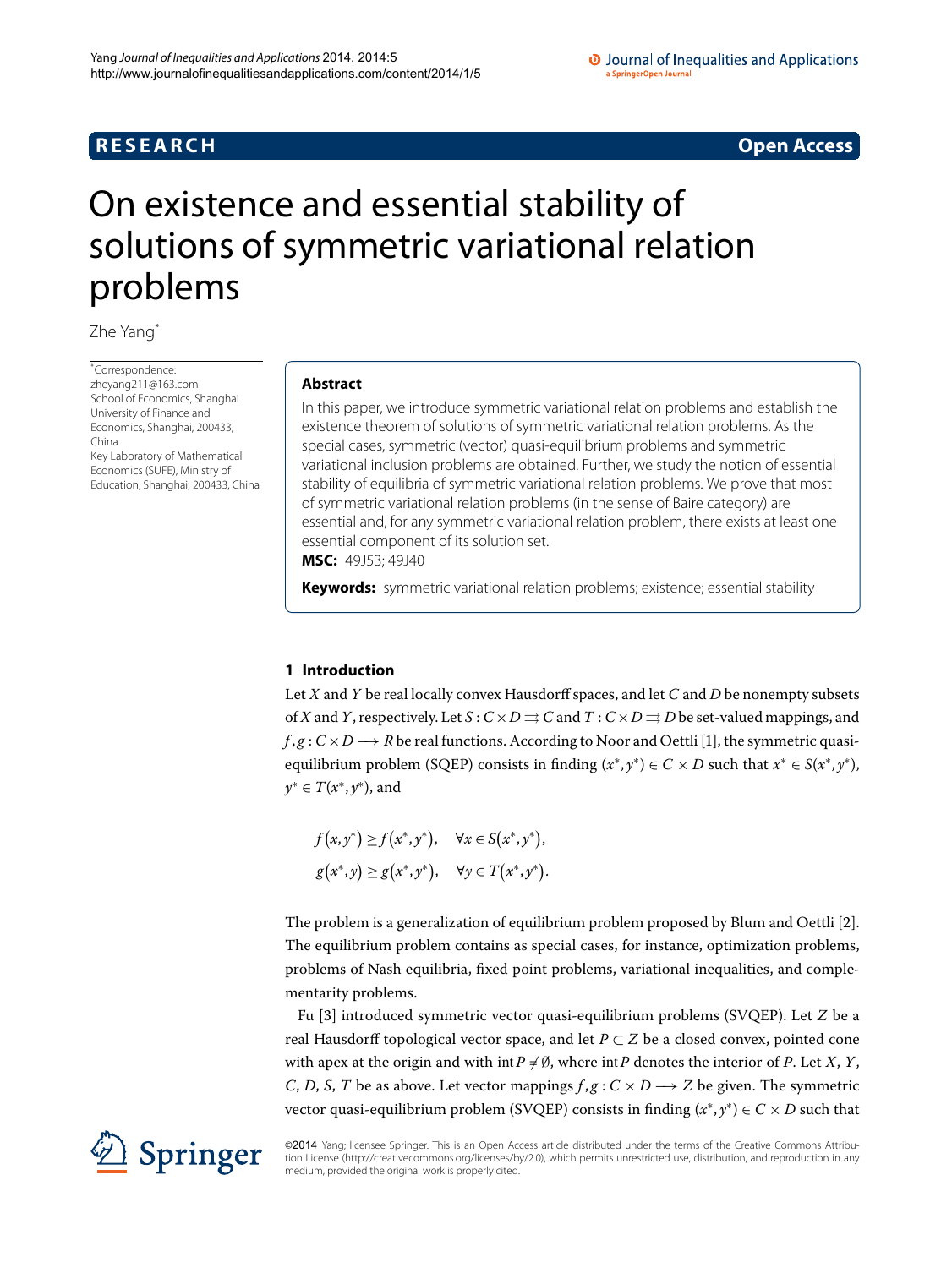## **R E S E A R C H Open Access**

# <span id="page-0-0"></span>On existence and essential stability of solutions of symmetric variational relation problems

Zhe Yan[g\\*](#page-0-0)

\* Correspondence: [zheyang211@163.com](mailto:zheyang211@163.com) School of Economics, Shanghai University of Finance and Economics, Shanghai, 200433, China Key Laboratory of Mathematical Economics (SUFE), Ministry of Education, Shanghai, 200433, China

#### **Abstract**

In this paper, we introduce symmetric variational relation problems and establish the existence theorem of solutions of symmetric variational relation problems. As the special cases, symmetric (vector) quasi-equilibrium problems and symmetric variational inclusion problems are obtained. Further, we study the notion of essential stability of equilibria of symmetric variational relation problems. We prove that most of symmetric variational relation problems (in the sense of Baire category) are essential and, for any symmetric variational relation problem, there exists at least one essential component of its solution set. **MSC:** 49J53; 49J40

**Keywords:** symmetric variational relation problems; existence; essential stability

### **1 Introduction**

Let *X* and *Y* be real locally convex Hausdorff spaces, and let *C* and *D* be nonempty subsets of *X* and *Y*, respectively. Let  $S: C \times D \rightrightarrows C$  and  $T: C \times D \rightrightarrows D$  be set-valued mappings, and  $f, g: C \times D \longrightarrow R$  be real functions. According to Noor and Oettli [1[\]](#page-11-0), the symmetric quasiequilibrium problem (SQEP) consists in finding  $(x^*, y^*) \in C \times D$  such that  $x^* \in S(x^*, y^*)$ , *y*<sup>∗</sup> ∈ *T*(*x*∗, *y*∗), and

$$
f(x, y^*) \ge f(x^*, y^*), \quad \forall x \in S(x^*, y^*),
$$
  

$$
g(x^*, y) \ge g(x^*, y^*), \quad \forall y \in T(x^*, y^*).
$$

The problem is a generalization of equilibrium problem proposed by Blum and Oettli [[\]](#page-11-1). The equilibrium problem contains as special cases, for instance, optimization problems, problems of Nash equilibria, fixed point problems, variational inequalities, and complementarity problems.

Fu [[\]](#page-11-2) introduced symmetric vector quasi-equilibrium problems (SVQEP). Let *Z* be a real Hausdorff topological vector space, and let  $P \subset Z$  be a closed convex, pointed cone with apex at the origin and with int $P \neq \emptyset$ , where int $P$  denotes the interior of  $P$ . Let  $X, Y$ , *C*, *D*, *S*, *T* be as above. Let vector mappings  $f, g : C \times D \rightarrow Z$  be given. The symmetric vector quasi-equilibrium problem (SVQEP) consists in finding  $(x^*, y^*) \in C \times D$  such that

©2014 Yang; licensee Springer. This is an Open Access article distributed under the terms of the Creative Commons Attribution License ([http://creativecommons.org/licenses/by/2.0\)](http://creativecommons.org/licenses/by/2.0), which permits unrestricted use, distribution, and reproduction in any medium, provided the original work is properly cited.

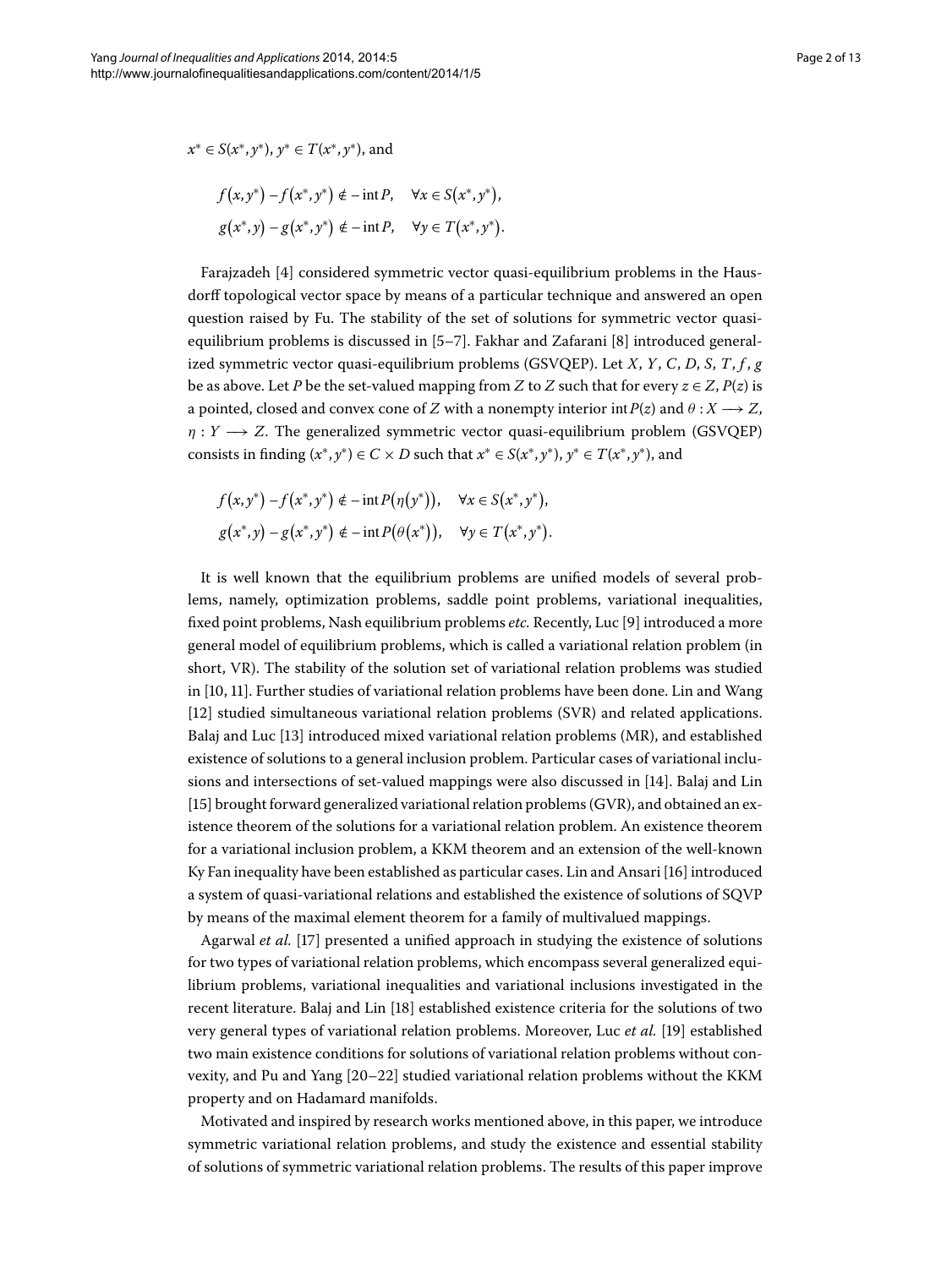$$
x^* \in S(x^*, y^*)
$$
,  $y^* \in T(x^*, y^*)$ , and

$$
f(x, y^*) - f(x^*, y^*) \notin -\inf P, \quad \forall x \in S(x^*, y^*),
$$

$$
g(x^*, y) - g(x^*, y^*) \notin -\inf P, \quad \forall y \in T(x^*, y^*).
$$

Farajzadeh [4] considered symmetric vector quasi-equilibrium problems in the Hausdorff topological vector space by means of a particular technique and answered an open question raised by Fu. The stability of the set of solutions for symmetric vector quasiequilibrium problems is discussed in  $[5-7]$  $[5-7]$  $[5-7]$ . Fakhar and Zafarani  $[8]$  introduced generalized symmetric vector quasi-equilibrium problems (GSVQEP). Let *X*, *Y*, *C*, *D*, *S*, *T*, *f* , *g* be as above. Let *P* be the set-valued mapping from *Z* to *Z* such that for every  $z \in Z$ ,  $P(z)$  is a pointed, closed and convex cone of *Z* with a nonempty interior int $P(z)$  and  $\theta : X \longrightarrow Z$ ,  $\eta: Y \longrightarrow Z$ . The generalized symmetric vector quasi-equilibrium problem (GSVQEP) consists in finding  $(x^*, y^*) \in C \times D$  such that  $x^* \in S(x^*, y^*)$ ,  $y^* \in T(x^*, y^*)$ , and

$$
f(x, y^*) - f(x^*, y^*) \notin -\inf P(\eta(y^*)), \quad \forall x \in S(x^*, y^*),
$$
  

$$
g(x^*, y) - g(x^*, y^*) \notin -\inf P(\theta(x^*)), \quad \forall y \in T(x^*, y^*).
$$

It is well known that the equilibrium problems are unified models of several problems, namely, optimization problems, saddle point problems, variational inequalities, fixed point problems, Nash equilibrium problems *etc*. Recently, Luc [9] introduced a more general model of equilibrium problems, which is called a variational relation problem (in short, VR). The stability of the solution set of variational relation problems was studied in  $[10, 11]$  $[10, 11]$ . Further studies of variational relation problems have been done. Lin and Wang [12[\]](#page-12-1) studied simultaneous variational relation problems (SVR) and related applications. Balaj and Luc [\[](#page-12-2)13] introduced mixed variational relation problems (MR), and established existence of solutions to a general inclusion problem. Particular cases of variational inclusions and intersections of set-valued mappings were also discussed in [14]. Balaj and Lin [15[\]](#page-12-4) brought forward generalized variational relation problems (GVR), and obtained an existence theorem of the solutions for a variational relation problem. An existence theorem for a variational inclusion problem, a KKM theorem and an extension of the well-known Ky Fan inequality have been established as particular cases. Lin and Ansari [\[](#page-12-5)16] introduced a system of quasi-variational relations and established the existence of solutions of SQVP by means of the maximal element theorem for a family of multivalued mappings.

Agarwal *et al.* [17] presented a unified approach in studying the existence of solutions for two types of variational relation problems, which encompass several generalized equilibrium problems, variational inequalities and variational inclusions investigated in the recent literature. Balaj and Lin [\[](#page-12-7)] established existence criteria for the solutions of two very general types of variational relation problems. Moreover, Luc *et al.* [] established two main existence conditions for solutions of variational relation problems without convexity, and Pu and Yang  $[20-22]$  studied variational relation problems without the KKM property and on Hadamard manifolds.

Motivated and inspired by research works mentioned above, in this paper, we introduce symmetric variational relation problems, and study the existence and essential stability of solutions of symmetric variational relation problems. The results of this paper improve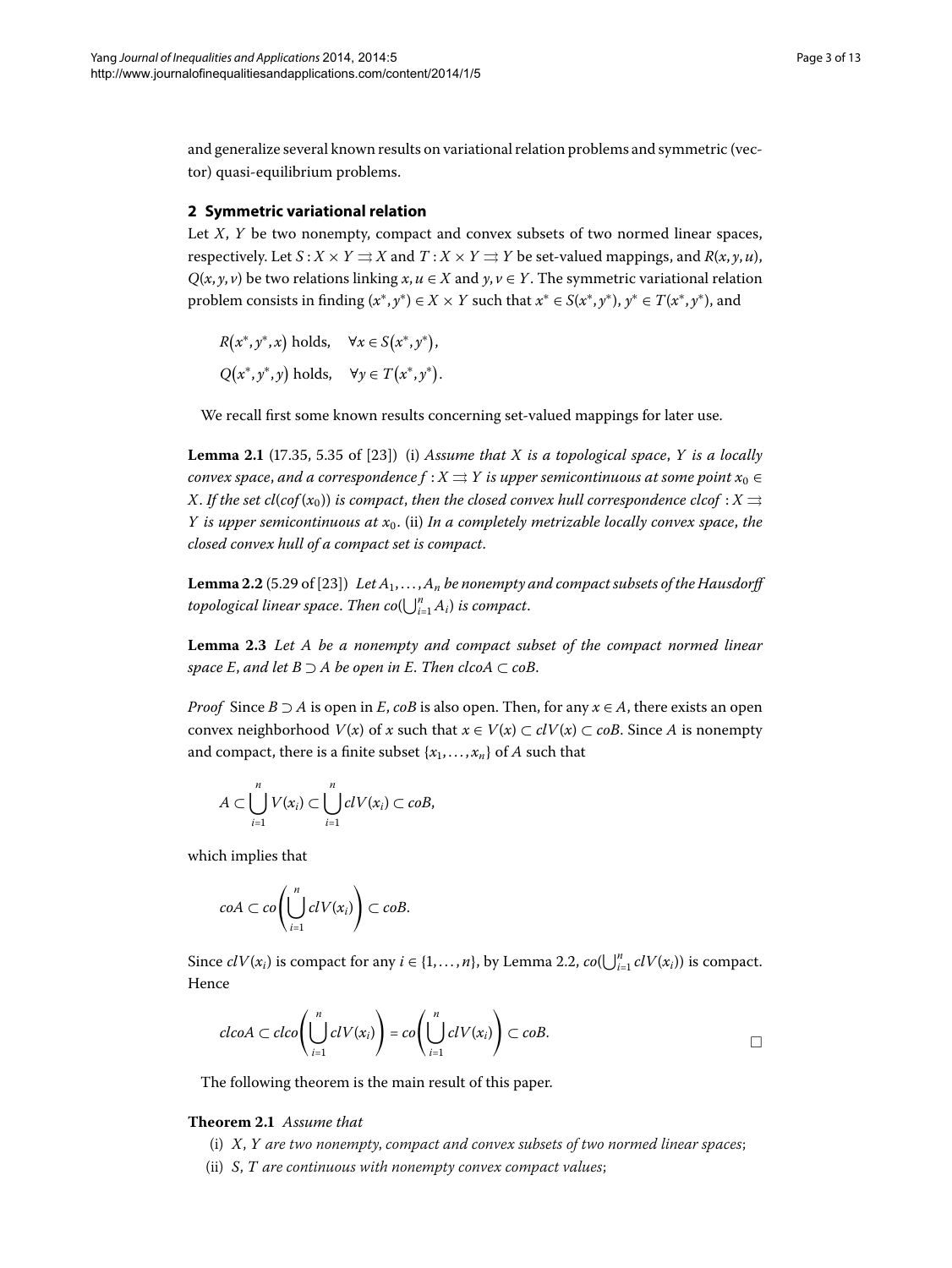and generalize several known results on variational relation problems and symmetric (vector) quasi-equilibrium problems.

#### **2 Symmetric variational relation**

Let *X*, *Y* be two nonempty, compact and convex subsets of two normed linear spaces, respectively. Let  $S: X \times Y \rightrightarrows X$  and  $T: X \times Y \rightrightarrows Y$  be set-valued mappings, and  $R(x, y, u)$ ,  $Q(x, y, v)$  be two relations linking  $x, u \in X$  and  $y, v \in Y$ . The symmetric variational relation problem consists in finding  $(x^*, y^*) \in X \times Y$  such that  $x^* \in S(x^*, y^*)$ ,  $y^* \in T(x^*, y^*)$ , and

<span id="page-2-1"></span>
$$
R(x^*, y^*, x) \text{ holds}, \quad \forall x \in S(x^*, y^*),
$$
  
 
$$
Q(x^*, y^*, y) \text{ holds}, \quad \forall y \in T(x^*, y^*).
$$

<span id="page-2-0"></span>We recall first some known results concerning set-valued mappings for later use.

<span id="page-2-2"></span>**Lemma 2.1** (17.35, 5.35 of [23]) (i) *Assume that X is a topological space*, *Y is a locally convex space, and a correspondence*  $f : X \rightrightarrows Y$  *is upper semicontinuous at some point*  $x_0 \in Y$ *X*. *If the set cl*(*cof*( $x_0$ )) *is compact, then the closed convex hull correspondence clcof* : *X*  $\Rightarrow$ *Y* is upper semicontinuous at  $x_0$ . (ii) *In a completely metrizable locally convex space, the closed convex hull of a compact set is compact*.

**Lemma 2.2** (5.29 of [23]) *Let*  $A_1, \ldots, A_n$  *be nonempty and compact subsets of the Hausdorff*  $topological$  linear space. Then  $co(\bigcup_{i=1}^n A_i)$  is compact.

**Lemma 2.3** Let A be a nonempty and compact subset of the compact normed linear *space E*, *and let*  $B \supset A$  *be open in E*. *Then clcoA*  $\subset$  *coB*.

*Proof* Since  $B \supseteq A$  is open in *E*, *coB* is also open. Then, for any  $x \in A$ , there exists an open convex neighborhood  $V(x)$  of *x* such that  $x \in V(x) \subset cUV(x) \subset coB$ . Since *A* is nonempty and compact, there is a finite subset  $\{x_1, \ldots, x_n\}$  of *A* such that

$$
A\subset \bigcup_{i=1}^n V(x_i)\subset \bigcup_{i=1}^n cl V(x_i)\subset coB,
$$

which implies that

$$
coA\subset co\left(\bigcup_{i=1}^n clV(x_i)\right)\subset coB.
$$

<span id="page-2-3"></span>Since  $clV(x_i)$  is compact for any  $i \in \{1, ..., n\}$  $i \in \{1, ..., n\}$  $i \in \{1, ..., n\}$ , by Lemma 2.2,  $co(\bigcup_{i=1}^n clV(x_i))$  is compact. Hence

$$
c\n \text{LcoA} \subset \text{cloc}\left(\bigcup_{i=1}^n \text{clV}(x_i)\right) = \text{co}\left(\bigcup_{i=1}^n \text{clV}(x_i)\right) \subset \text{coB}.
$$

The following theorem is the main result of this paper.

#### **Theorem 2.1** Assume that

- (i) *X*, *Y are two nonempty*, *compact and convex subsets of two normed linear spaces*;
- (ii) *S*, *T are continuous with nonempty convex compact values*;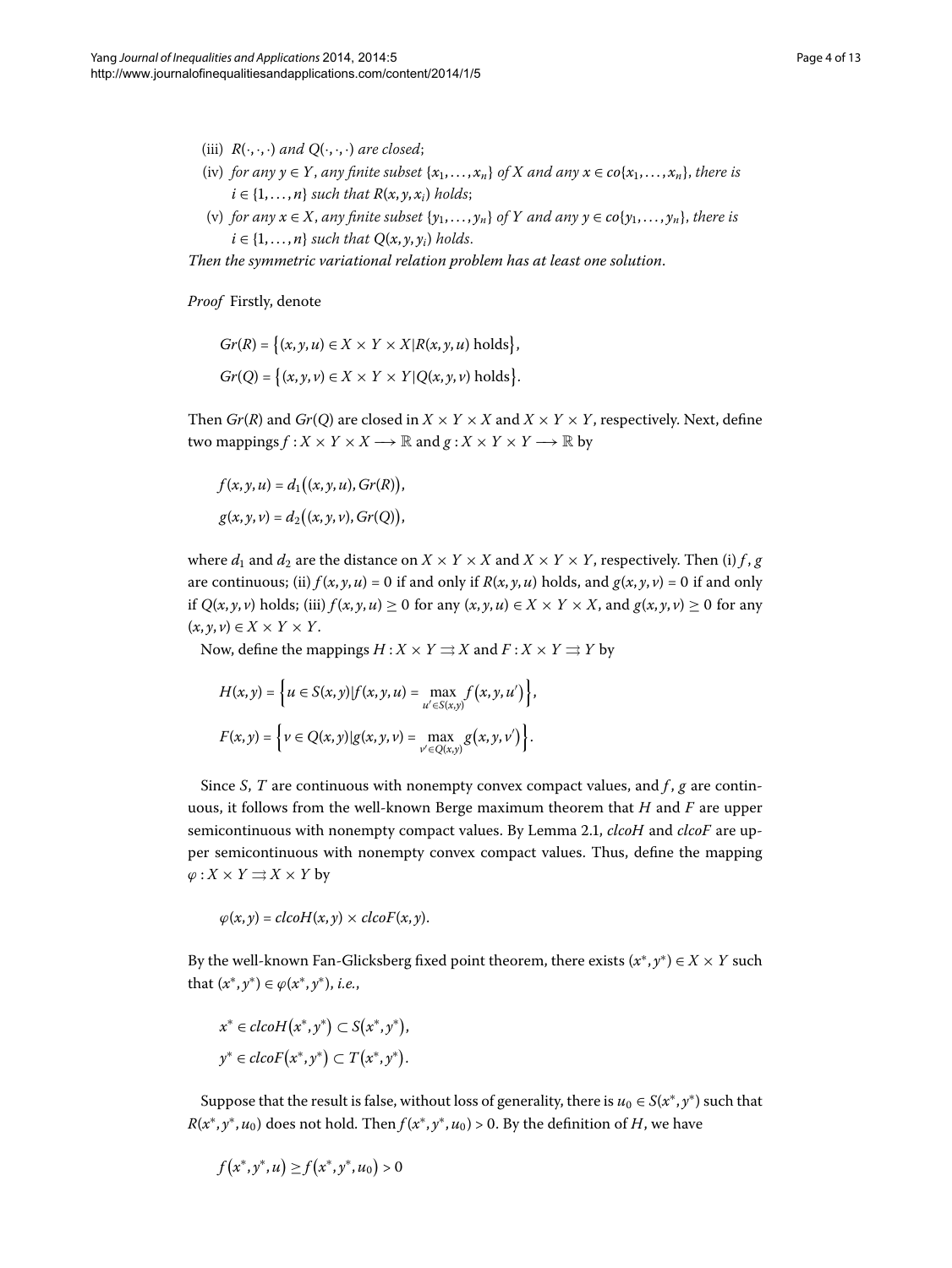- (iii)  $R(\cdot, \cdot, \cdot)$  and  $Q(\cdot, \cdot, \cdot)$  are closed;
- (iv) *for any*  $y \in Y$ , *any finite subset*  $\{x_1, \ldots, x_n\}$  *of X and any*  $x \in co\{x_1, \ldots, x_n\}$ , *there is*  $i \in \{1, \ldots, n\}$  *such that*  $R(x, y, x_i)$  *holds*;
- (v) *for any*  $x \in X$ , *any finite subset*  $\{y_1, \ldots, y_n\}$  *of*  $Y$  *and any*  $y \in co\{y_1, \ldots, y_n\}$ , *there is*  $i \in \{1, \ldots, n\}$  *such that*  $Q(x, y, y_i)$  *holds.*

*Then the symmetric variational relation problem has at least one solution*.

*Proof* Firstly, denote

$$
Gr(R) = \{(x, y, u) \in X \times Y \times X | R(x, y, u) \text{ holds}\},\
$$

$$
Gr(Q) = \{(x, y, v) \in X \times Y \times Y | Q(x, y, v) \text{ holds}\}.
$$

Then *Gr*(*R*) and *Gr*(*Q*) are closed in  $X \times Y \times X$  and  $X \times Y \times Y$ , respectively. Next, define two mappings  $f: X \times Y \times X \longrightarrow \mathbb{R}$  and  $g: X \times Y \times Y \longrightarrow \mathbb{R}$  by

$$
f(x, y, u) = d_1((x, y, u), Gr(R)),
$$
  

$$
g(x, y, v) = d_2((x, y, v), Gr(Q)),
$$

where  $d_1$  and  $d_2$  are the distance on  $X \times Y \times X$  and  $X \times Y \times Y$ , respectively. Then (i)  $f, g$ are continuous; (ii)  $f(x, y, u) = 0$  if and only if  $R(x, y, u)$  holds, and  $g(x, y, v) = 0$  if and only if  $Q(x, y, v)$  holds; (iii)  $f(x, y, u) \ge 0$  for any  $(x, y, u) \in X \times Y \times X$ , and  $g(x, y, v) \ge 0$  for any  $(x, y, v) \in X \times Y \times Y$ .

Now, define the mappings  $H: X \times Y \rightrightarrows X$  and  $F: X \times Y \rightrightarrows Y$  by

$$
H(x, y) = \left\{ u \in S(x, y) | f(x, y, u) = \max_{u' \in S(x, y)} f(x, y, u') \right\},\
$$

$$
F(x, y) = \left\{ v \in Q(x, y) | g(x, y, v) = \max_{v' \in Q(x, y)} g(x, y, v') \right\}.
$$

Since *S*, *T* are continuous with nonempty convex compact values, and *f* , *g* are continuous, it follows from the well-known Berge maximum theorem that *H* and *F* are upper semicontinuous with nonempty compact values[.](#page-2-1) By Lemma 2.1, *clcoH* and *clcoF* are upper semicontinuous with nonempty convex compact values. Thus, define the mapping  $\varphi$  : *X* × *Y*  $\Rightarrow$  *X* × *Y* by

$$
\varphi(x,y) = clcoH(x,y) \times clcoF(x,y).
$$

By the well-known Fan-Glicksberg fixed point theorem, there exists  $(x^*, y^*) \in X \times Y$  such that  $(x^*, y^*) \in \varphi(x^*, y^*)$ , *i.e.*,

$$
x^* \in clcoH(x^*, y^*) \subset S(x^*, y^*),
$$
  

$$
y^* \in clcoF(x^*, y^*) \subset T(x^*, y^*).
$$

Suppose that the result is false, without loss of generality, there is  $u_0 \in S(x^*, y^*)$  such that  $R(x^*, y^*, u_0)$  does not hold. Then  $f(x^*, y^*, u_0) > 0$ . By the definition of *H*, we have

$$
f(x^*, y^*, u) \ge f(x^*, y^*, u_0) > 0
$$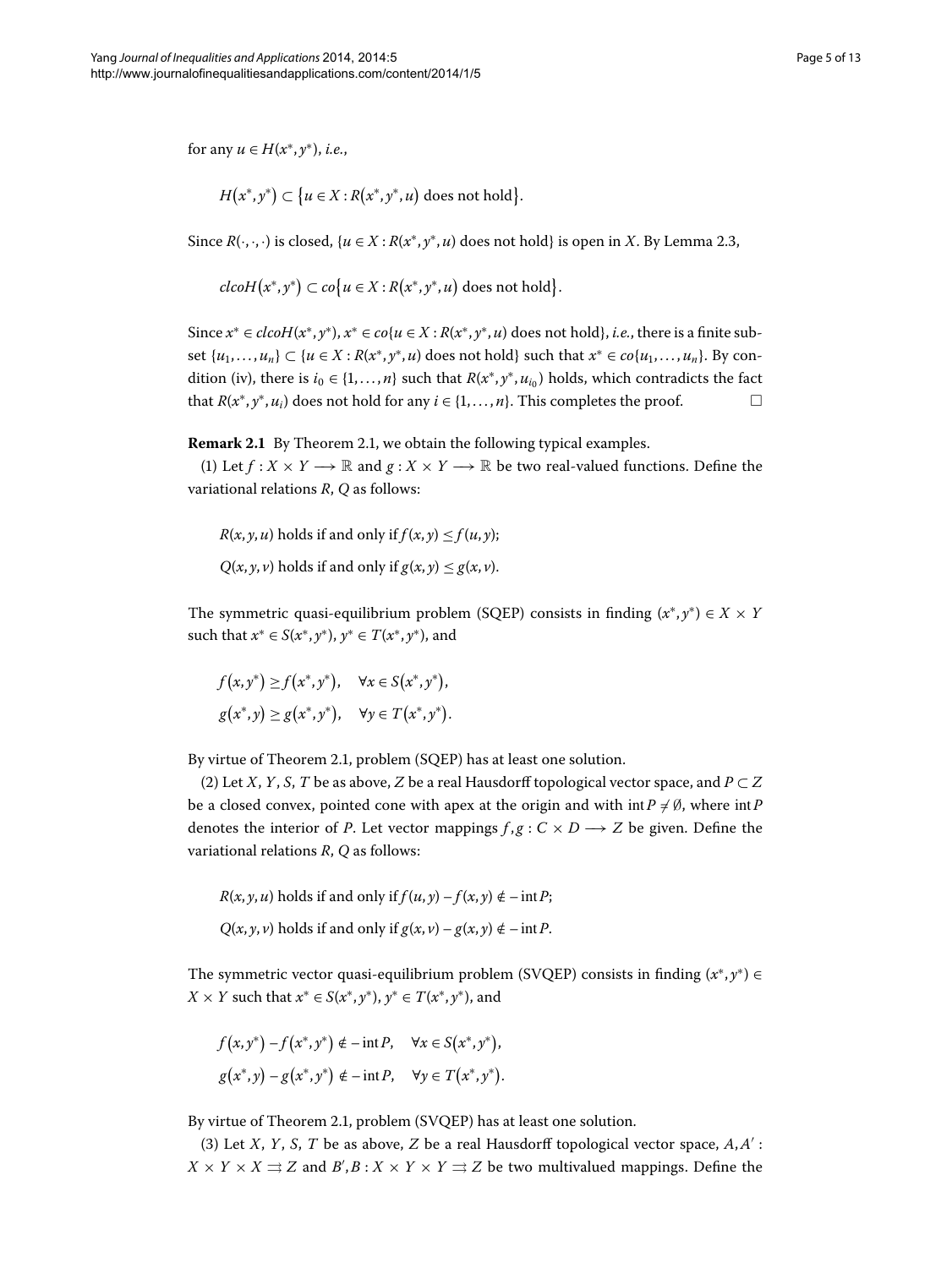for any  $u \in H(x^*, y^*)$ , *i.e.*,

$$
H(x^*,y^*) \subset \{u \in X : R(x^*,y^*,u) \text{ does not hold}\}.
$$

Since  $R(\cdot, \cdot, \cdot)$  is closed,  $\{u \in X : R(x^*, y^*, u)$  does not hold} is open in *X*. By Lemma 2.3,

$$
clcoH(x^*,y^*) \subset co\{u \in X : R(x^*,y^*,u) \text{ does not hold}\}.
$$

Since  $x^* \in clcH(x^*, y^*)$ ,  $x^* \in c\circ\{u \in X : R(x^*, y^*, u)\}$  does not hold}, *i.e.*, there is a finite subset  $\{u_1, \ldots, u_n\} \subset \{u \in X : R(x^*, y^*, u) \text{ does not hold} \}$  such that  $x^* \in co\{u_1, \ldots, u_n\}$ . By condition (iv), there is  $i_0 \in \{1, ..., n\}$  such that  $R(x^*, y^*, u_{i_0})$  holds, which contradicts the fact that  $R(x^*, y^*, u_i)$  does not hold for any  $i \in \{1, ..., n\}$ . This completes the proof. □

**Remark 2[.](#page-2-3)1** By Theorem 2.1, we obtain the following typical examples.

(1) Let  $f: X \times Y \longrightarrow \mathbb{R}$  and  $g: X \times Y \longrightarrow \mathbb{R}$  be two real-valued functions. Define the variational relations *R*, *Q* as follows:

 $R(x, y, u)$  holds if and only if  $f(x, y) \le f(u, y)$ ; *Q*(*x*, *y*, *v*) holds if and only if  $g(x, y) \le g(x, v)$ .

The symmetric quasi-equilibrium problem (SQEP) consists in finding  $(x^*, y^*) \in X \times Y$ such that  $x^*$  ∈ *S*( $x^*$ ,  $y^*$ ),  $y^*$  ∈ *T*( $x^*$ ,  $y^*$ ), and

$$
f(x, y^*) \ge f(x^*, y^*), \quad \forall x \in S(x^*, y^*),
$$
  

$$
g(x^*, y) \ge g(x^*, y^*), \quad \forall y \in T(x^*, y^*).
$$

By virtue of Theorem 2[.](#page-2-3)1, problem (SQEP) has at least one solution.

(2) Let *X*, *Y*, *S*, *T* be as above, *Z* be a real Hausdorff topological vector space, and  $P \subset Z$ be a closed convex, pointed cone with apex at the origin and with  $\text{int } P \neq \emptyset$ , where  $\text{int } P$ denotes the interior of *P*. Let vector mappings  $f, g: C \times D \longrightarrow Z$  be given. Define the variational relations *R*, *Q* as follows:

 $R(x, y, u)$  holds if and only if  $f(u, y) - f(x, y) \notin -\inf P$ ;

*Q*(*x*, *y*, *v*) holds if and only if *g*(*x*, *v*) − *g*(*x*, *y*)  $\notin$  − int*P*.

The symmetric vector quasi-equilibrium problem (SVQEP) consists in finding  $(x^*, y^*) \in$ *X* × *Y* such that  $x^*$  ∈ *S*( $x^*$ ,  $y^*$ ),  $y^*$  ∈ *T*( $x^*$ ,  $y^*$ ), and

$$
f(x, y^*) - f(x^*, y^*) \notin -\inf P, \quad \forall x \in S(x^*, y^*),
$$
  

$$
g(x^*, y) - g(x^*, y^*) \notin -\inf P, \quad \forall y \in T(x^*, y^*).
$$

By virtue of Theorem 2[.](#page-2-3)1, problem (SVQEP) has at least one solution.

(3) Let *X*, *Y*, *S*, *T* be as above, *Z* be a real Hausdorff topological vector space,  $A, A'$ :  $X \times Y \times X \rightrightarrows Z$  and  $B', B: X \times Y \times Y \rightrightarrows Z$  be two multivalued mappings. Define the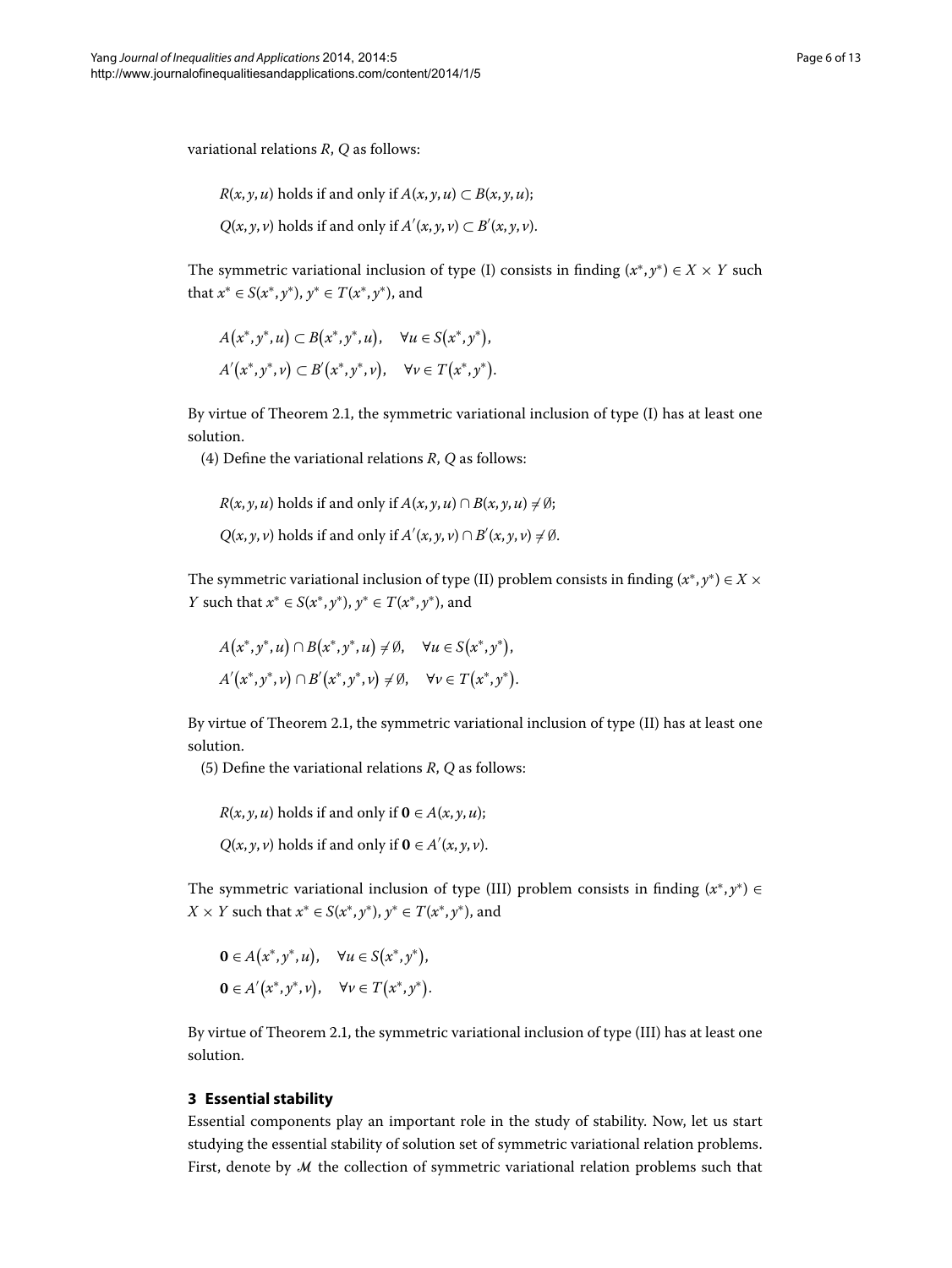variational relations *R*, *Q* as follows:

$$
R(x, y, u)
$$
 holds if and only if  $A(x, y, u) \subset B(x, y, u)$ ;

*Q*(*x*, *y*, *v*) holds if and only if *A*<sup> $'$ </sup>(*x*, *y*, *v*) ⊂ *B*<sup> $'$ </sup>(*x*, *y*, *v*).

The symmetric variational inclusion of type (I) consists in finding  $(x^*, y^*) \in X \times Y$  such that *x*<sup>∗</sup> ∈ *S*(*x*<sup>∗</sup>, *y*<sup>∗</sup>), *y*<sup>∗</sup> ∈ *T*(*x*<sup>\*</sup>, *y*<sup>\*</sup>), and

$$
A(x^*, y^*, u) \subset B(x^*, y^*, u), \quad \forall u \in S(x^*, y^*),
$$
  
 
$$
A'(x^*, y^*, v) \subset B'(x^*, y^*, v), \quad \forall v \in T(x^*, y^*).
$$

By virtue of Theorem 2[.](#page-2-3)1, the symmetric variational inclusion of type  $(I)$  has at least one solution.

(4) Define the variational relations  $R$ ,  $Q$  as follows:

$$
R(x, y, u)
$$
 holds if and only if  $A(x, y, u) \cap B(x, y, u) \neq \emptyset$ ;

$$
Q(x, y, v)
$$
 holds if and only if  $A'(x, y, v) \cap B'(x, y, v) \neq \emptyset$ .

The symmetric variational inclusion of type (II) problem consists in finding  $(x^*, y^*) \in X \times Y$ *Y* such that  $x^*$  ∈ *S*( $x^*$ ,  $y^*$ ),  $y^*$  ∈ *T*( $x^*$ ,  $y^*$ ), and

$$
A(x^*,y^*,u) \cap B(x^*,y^*,u) \neq \emptyset, \quad \forall u \in S(x^*,y^*),
$$
  
 
$$
A'(x^*,y^*,v) \cap B'(x^*,y^*,v) \neq \emptyset, \quad \forall v \in T(x^*,y^*).
$$

By virtue of Theorem 2.1, the symmetric variational inclusion of type  $(II)$  has at least one solution.

(5) Define the variational relations  $R$ ,  $Q$  as follows:

 $R(x, y, u)$  holds if and only if  $\mathbf{0} \in A(x, y, u)$ ;

 $Q(x, y, v)$  holds if and only if  $\mathbf{0} \in A'(x, y, v)$ .

The symmetric variational inclusion of type (III) problem consists in finding (*x*∗, *y*∗) ∈ *X* × *Y* such that  $x^*$  ∈ *S*( $x^*$ ,  $y^*$ ),  $y^*$  ∈ *T*( $x^*$ ,  $y^*$ ), and

$$
0 \in A(x^*, y^*, u), \quad \forall u \in S(x^*, y^*),
$$
  

$$
0 \in A'(x^*, y^*, v), \quad \forall v \in T(x^*, y^*).
$$

By virtue of Theorem 2.1, the symmetric variational inclusion of type (III) has at least one solution.

#### **3 Essential stability**

Essential components play an important role in the study of stability. Now, let us start studying the essential stability of solution set of symmetric variational relation problems. First, denote by  $M$  the collection of symmetric variational relation problems such that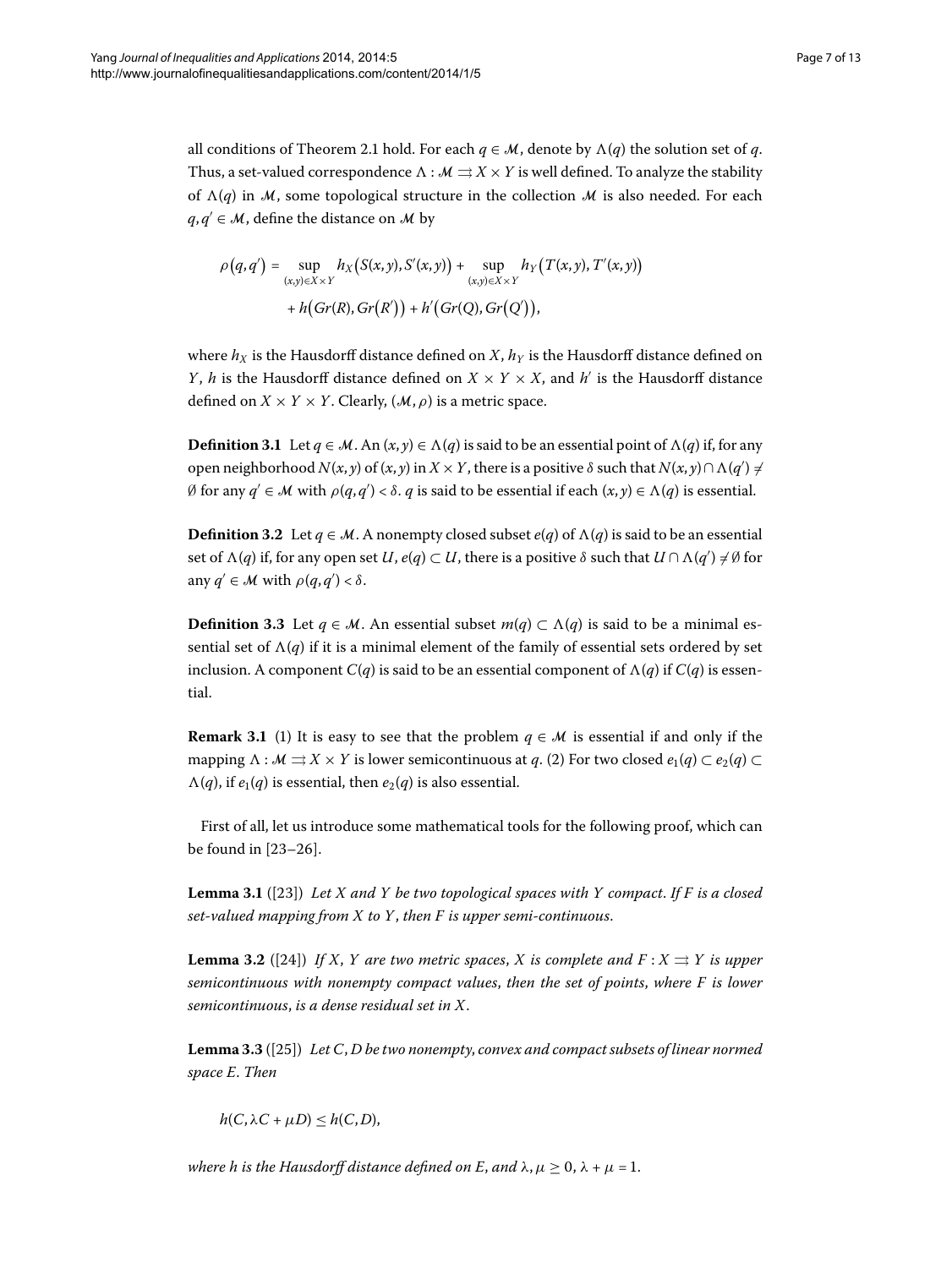all conditions of Theorem 2[.](#page-2-3)1 hold. For each  $q \in M$ , denote by  $\Lambda(q)$  the solution set of *q*. Thus, a set-valued correspondence  $\Lambda : \mathcal{M} \rightrightarrows X \times Y$  is well defined. To analyze the stability of  $\Lambda(q)$  in M, some topological structure in the collection M is also needed. For each  $q, q' \in \mathcal{M}$ , define the distance on  $\mathcal{M}$  by

$$
\rho(q,q') = \sup_{(x,y)\in X\times Y} h_X(S(x,y),S'(x,y)) + \sup_{(x,y)\in X\times Y} h_Y(T(x,y),T'(x,y)) + h(Gr(R),Gr(R')) + h'(Gr(Q),Gr(Q')),
$$

where  $h_X$  is the Hausdorff distance defined on *X*,  $h_Y$  is the Hausdorff distance defined on *Y*, *h* is the Hausdorff distance defined on  $X \times Y \times X$ , and *h*' is the Hausdorff distance defined on  $X \times Y \times Y$ . Clearly,  $(M, \rho)$  is a metric space.

**Definition 3.1** Let  $q \in M$ . An  $(x, y) \in \Lambda(q)$  is said to be an essential point of  $\Lambda(q)$  if, for any open neighborhood  $N(x, y)$  of  $(x, y)$  in  $X \times Y$ , there is a positive  $\delta$  such that  $N(x, y) \cap \Lambda(q') \neq \emptyset$  $\emptyset$  for any  $q' \in \mathcal{M}$  with  $\rho(q,q') < \delta$ .  $q$  is said to be essential if each  $(x, y) \in \Lambda(q)$  is essential.

**Definition 3.2** Let  $q \in M$ . A nonempty closed subset  $e(q)$  of  $\Lambda(q)$  is said to be an essential set of  $\Lambda(q)$  if, for any open set  $U$ ,  $e(q) \subset U$ , there is a positive  $\delta$  such that  $U \cap \Lambda(q') \neq \emptyset$  for any  $q' \in \mathcal{M}$  with  $\rho(q,q') < \delta$ .

<span id="page-6-2"></span>**Definition 3.3** Let  $q \in M$ . An essential subset  $m(q) \subset \Lambda(q)$  is said to be a minimal essential set of  $\Lambda(q)$  if it is a minimal element of the family of essential sets ordered by set inclusion. A component  $C(q)$  is said to be an essential component of  $\Lambda(q)$  if  $C(q)$  is essential.

<span id="page-6-0"></span>**Remark 3.1** (1) It is easy to see that the problem  $q \in \mathcal{M}$  is essential if and only if the mapping  $\Lambda : \mathcal{M} \rightrightarrows X \times Y$  is lower semicontinuous at *q*. (2) For two closed  $e_1(q) \subset e_2(q)$  $\Lambda(q)$ , if  $e_1(q)$  is essential, then  $e_2(q)$  is also essential.

<span id="page-6-1"></span>First of all, let us introduce some mathematical tools for the following proof, which can be found in  $[23-26]$  $[23-26]$ .

<span id="page-6-3"></span>**Lemma 3.1** ([23]) Let X and Y be two topological spaces with Y compact. If F is a closed *set-valued mapping from X to Y*, *then F is upper semi-continuous*.

**Lemma 3.2** ([24]) *If X, Y are two metric spaces, X is complete and F :*  $X \rightrightarrows Y$  *is upper semicontinuous with nonempty compact values*, *then the set of points*, *where F is lower semicontinuous*, *is a dense residual set in X*.

**Lemma 3.3** ([25[\]](#page-12-14)) *Let C, D be two nonempty, convex and compact subsets of linear normed space E*. *Then*

 $h(C, \lambda C + \mu D) \leq h(C, D),$ 

*where h is the Hausdorff distance defined on E, and*  $\lambda, \mu \geq 0, \lambda + \mu = 1$ .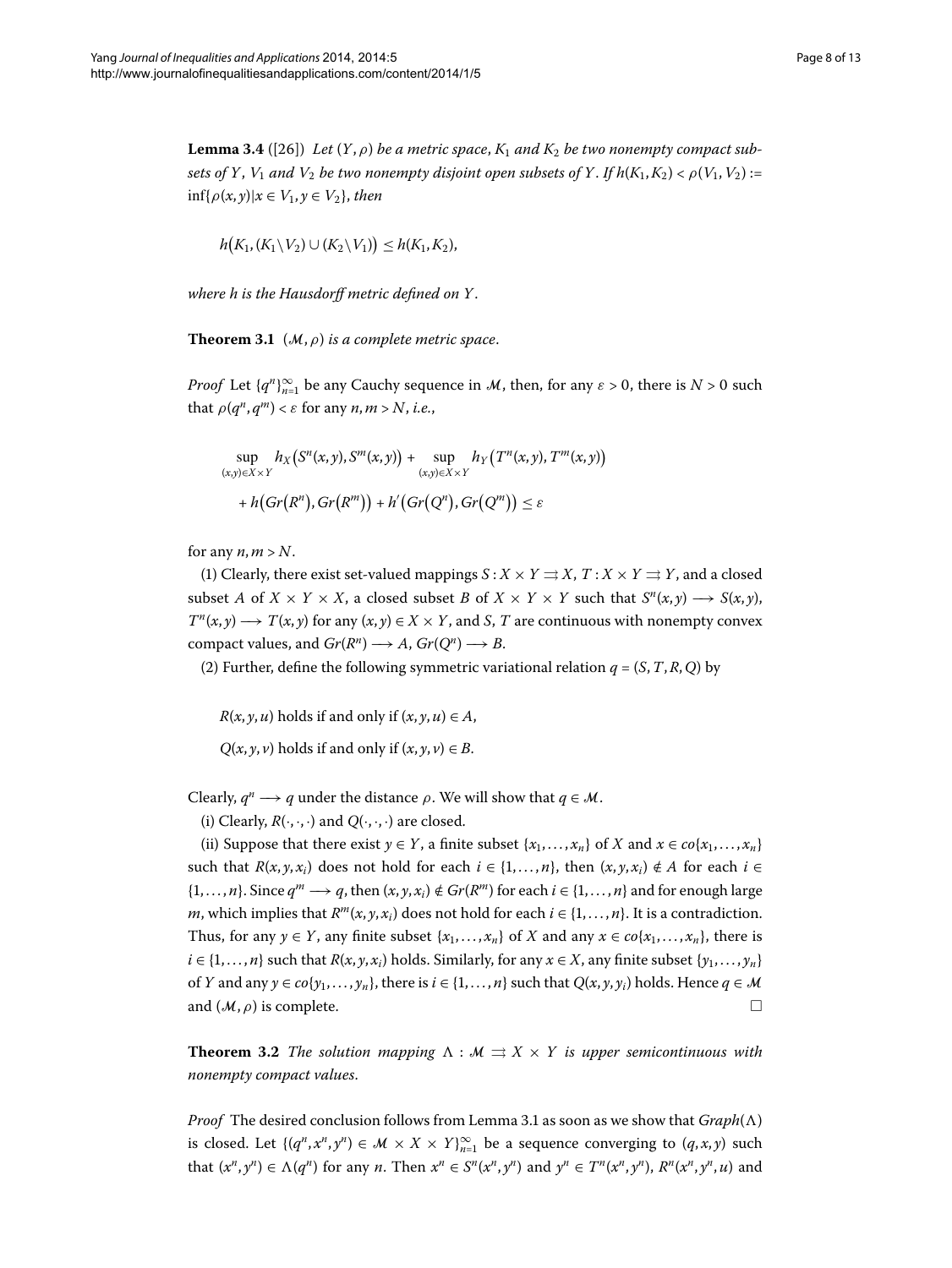<span id="page-7-2"></span><span id="page-7-0"></span>**Lemma 3.4** ([26]) Let  $(Y, \rho)$  be a metric space,  $K_1$  and  $K_2$  be two nonempty compact sub*sets of Y*, *V*<sub>1</sub> *and V*<sub>2</sub> *be two nonempty disjoint open subsets of Y*. *If*  $h(K_1, K_2) < \rho(V_1, V_2)$  :=  $\inf\{\rho(x,y)|x \in V_1, y \in V_2\}$ , then

$$
h\big(K_1,(K_1\setminus V_2)\cup (K_2\setminus V_1)\big)\leq h(K_1,K_2),
$$

*where h is the Hausdorff metric defined on Y*.

**Theorem 3.1** ( $M$ ,  $\rho$ ) *is a complete metric space*.

*Proof* Let  $\{q^n\}_{n=1}^{\infty}$  be any Cauchy sequence in M, then, for any  $\varepsilon > 0$ , there is  $N > 0$  such that  $\rho(q^n, q^m) < \varepsilon$  for any  $n, m > N$ , *i.e.*,

$$
\sup_{(x,y)\in X\times Y} h_X(S^n(x,y),S^m(x,y)) + \sup_{(x,y)\in X\times Y} h_Y(T^n(x,y),T^m(x,y))
$$
  
+  $h(Gr(R^n),Gr(R^m)) + h'(Gr(Q^n),Gr(Q^m)) \le \varepsilon$ 

for any  $n, m > N$ .

(1) Clearly, there exist set-valued mappings  $S: X \times Y \rightrightarrows X$ ,  $T: X \times Y \rightrightarrows Y$ , and a closed subset *A* of  $X \times Y \times X$ , a closed subset *B* of  $X \times Y \times Y$  such that  $S^n(x, y) \longrightarrow S(x, y)$ ,  $T^n(x, y) \longrightarrow T(x, y)$  for any  $(x, y) \in X \times Y$ , and *S*, *T* are continuous with nonempty convex compact values, and *Gr*( $R^n$ )  $\longrightarrow$  *A*, *Gr*( $Q^n$ )  $\longrightarrow$  *B*.

(2) Further, define the following symmetric variational relation  $q = (S, T, R, Q)$  by

 $R(x, y, u)$  holds if and only if  $(x, y, u) \in A$ ,

 $Q(x, y, v)$  holds if and only if  $(x, y, v) \in B$ .

Clearly,  $q^n \longrightarrow q$  under the distance  $\rho$ . We will show that  $q \in \mathcal{M}$ .

(i) Clearly,  $R(\cdot, \cdot, \cdot)$  and  $Q(\cdot, \cdot, \cdot)$  are closed.

<span id="page-7-1"></span>(ii) Suppose that there exist *y*  $\in$  *Y*, a finite subset {*x*<sub>1</sub>,...,*x*<sub>*n*</sub>} of *X* and *x*  $\in$  *co*{*x*<sub>1</sub>,...,*x*<sub>*n*</sub>} such that  $R(x, y, x_i)$  does not hold for each  $i \in \{1, \ldots, n\}$ , then  $(x, y, x_i) \notin A$  for each  $i \in$  $\{1, \ldots, n\}$ . Since  $q^m \longrightarrow q$ , then  $(x, y, x_i) \notin Gr(R^m)$  for each  $i \in \{1, \ldots, n\}$  and for enough large *m*, which implies that  $R^m(x, y, x_i)$  does not hold for each  $i \in \{1, \ldots, n\}$ . It is a contradiction. Thus, for any  $y \in Y$ , any finite subset  $\{x_1, \ldots, x_n\}$  of *X* and any  $x \in co\{x_1, \ldots, x_n\}$ , there is  $i \in \{1, ..., n\}$  such that  $R(x, y, x_i)$  holds. Similarly, for any  $x \in X$ , any finite subset  $\{y_1, ..., y_n\}$ of *Y* and any  $y \in co\{y_1, \ldots, y_n\}$ , there is  $i \in \{1, \ldots, n\}$  such that  $Q(x, y, y_i)$  holds. Hence  $q \in \mathcal{M}$ and  $(M, \rho)$  is complete.

**Theorem 3.2** *The solution mapping*  $\Lambda : \mathcal{M} \Rightarrow X \times Y$  *is upper semicontinuous with nonempty compact values*.

*Proof* The desired conclusion follows from Lemma 3[.](#page-6-0)1 as soon as we show that  $Graph(\Lambda)$ is closed. Let  $\{(q^n, x^n, y^n) \in \mathcal{M} \times X \times Y\}_{n=1}^{\infty}$  be a sequence converging to  $(q, x, y)$  such that  $(x^n, y^n) \in \Lambda(q^n)$  for any *n*. Then  $x^n \in S^n(x^n, y^n)$  and  $y^n \in T^n(x^n, y^n)$ ,  $R^n(x^n, y^n, u)$  and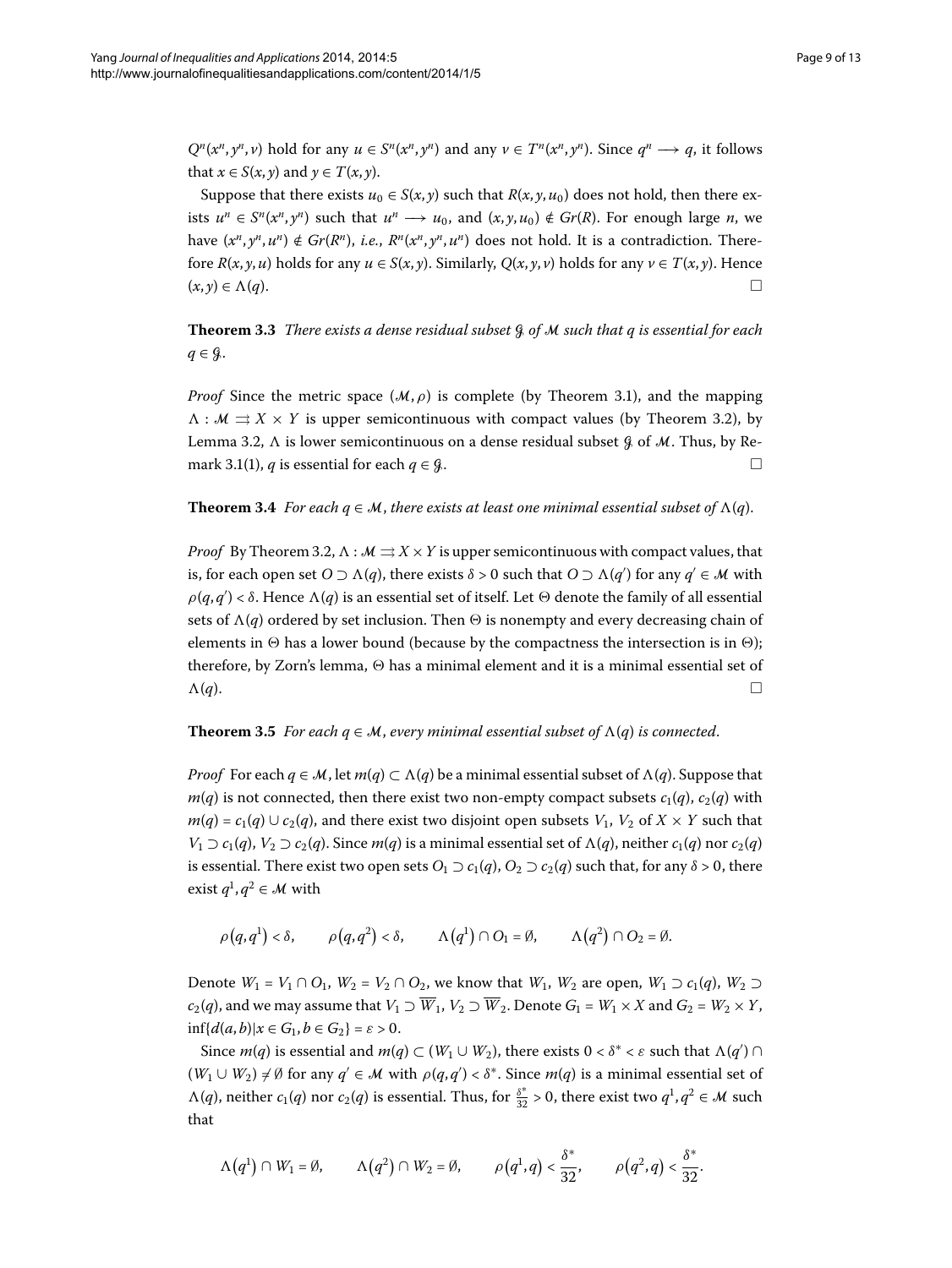$Q^{n}(x^{n},y^{n},\nu)$  hold for any  $u \in S^{n}(x^{n},y^{n})$  and any  $\nu \in T^{n}(x^{n},y^{n})$ . Since  $q^{n} \longrightarrow q$ , it follows that  $x \in S(x, y)$  and  $y \in T(x, y)$ .

Suppose that there exists  $u_0 \in S(x, y)$  such that  $R(x, y, u_0)$  does not hold, then there exists  $u^n \text{ ∈ } S^n(x^n, y^n)$  such that  $u^n \longrightarrow u_0$ , and  $(x, y, u_0) \notin Gr(R)$ . For enough large *n*, we have  $(x^n, y^n, u^n) \notin Gr(R^n)$ , *i.e.*,  $R^n(x^n, y^n, u^n)$  does not hold. It is a contradiction. Therefore  $R(x, y, u)$  holds for any  $u \in S(x, y)$ . Similarly,  $Q(x, y, v)$  holds for any  $v \in T(x, y)$ . Hence  $(x, y) \in \Lambda(q).$ 

**Theorem .** *There exists a dense residual subset* G *of* M *such that q is essential for each*  $q \in \mathcal{G}$ .

*Proof* Since the metric space  $(M, \rho)$  is complete (by Theorem 3.1), and the mapping  $\Lambda : \mathcal{M} \rightrightarrows X \times Y$  is upper semicontinuous with compact values (by Theorem 3[.](#page-7-1)2), by Lemma 3[.](#page-6-1)2,  $\Lambda$  is lower semicontinuous on a dense residual subset  $\beta$  of M. Thus, by Re-mark 3[.](#page-6-2)1(1), *q* is essential for each *q* ∈ *G*.

**Theorem 3.4** For each  $q \in M$ , there exists at least one minimal essential subset of  $\Lambda(q)$ .

<span id="page-8-0"></span>*Proof* By Theorem 3.2,  $\Lambda : \mathcal{M} \rightrightarrows X \times Y$  is upper semicontinuous with compact values, that is, for each open set  $O \supset \Lambda(q)$ , there exists  $\delta > 0$  such that  $O \supset \Lambda(q')$  for any  $q' \in M$  with *ρ*( $q, q^\prime$ ) < *δ*. Hence  $Λ(q)$  is an essential set of itself. Let  $Θ$  denote the family of all essential sets of  $\Lambda(q)$  ordered by set inclusion. Then  $\Theta$  is nonempty and every decreasing chain of elements in  has a lower bound (because by the compactness the intersection is in ); therefore, by Zorn's lemma,  $\Theta$  has a minimal element and it is a minimal essential set of  $\Lambda(q)$ .

#### **Theorem 3.5** For each  $q \in M$ , every minimal essential subset of  $\Lambda(q)$  is connected.

*Proof* For each  $q \in M$ , let  $m(q) \subset \Lambda(q)$  be a minimal essential subset of  $\Lambda(q)$ . Suppose that  $m(q)$  is not connected, then there exist two non-empty compact subsets  $c_1(q)$ ,  $c_2(q)$  with *m*(*q*) =  $c_1$ (*q*) ∪  $c_2$ (*q*), and there exist two disjoint open subsets  $V_1$ ,  $V_2$  of  $X \times Y$  such that *V*<sub>1</sub>  $\supset$  *c*<sub>1</sub>(*q*), *V*<sub>2</sub>  $\supset$  *c*<sub>2</sub>(*q*). Since *m*(*q*) is a minimal essential set of  $\Lambda$ (*q*), neither *c*<sub>1</sub>(*q*) nor *c*<sub>2</sub>(*q*) is essential. There exist two open sets  $O_1 \supset c_1(q)$ ,  $O_2 \supset c_2(q)$  such that, for any  $\delta > 0$ , there exist  $q^1, q^2 \in \mathcal{M}$  with

 $\rho(q, q^1) < \delta,$   $\rho(q, q^2) < \delta,$   $\Lambda(q^1) \cap O_1 = \emptyset,$   $\Lambda(q^2) \cap O_2 = \emptyset.$ 

Denote *W*<sub>1</sub> = *V*<sub>1</sub> ∩ *O*<sub>1</sub>, *W*<sub>2</sub> = *V*<sub>2</sub> ∩ *O*<sub>2</sub>, we know that *W*<sub>1</sub>, *W*<sub>2</sub> are open, *W*<sub>1</sub> ⊃ *c*<sub>1</sub>(*q*), *W*<sub>2</sub> ⊃ *c*<sub>2</sub>(*q*), and we may assume that  $V_1 \supset \overline{W}_1$ ,  $V_2 \supset \overline{W}_2$ . Denote  $G_1 = W_1 \times X$  and  $G_2 = W_2 \times Y$ ,  $\inf\{d(a,b)|x \in G_1, b \in G_2\} = \varepsilon > 0.$ 

Since  $m(q)$  is essential and  $m(q) \subset (W_1 \cup W_2)$ , there exists  $0 < \delta^* < \varepsilon$  such that  $\Lambda(q') \cap$  $(W_1 \cup W_2) \neq \emptyset$  for any  $q' \in \mathcal{M}$  with  $\rho(q,q') < \delta^*$ . Since  $m(q)$  is a minimal essential set of  $\Lambda(q)$ , neither  $c_1(q)$  nor  $c_2(q)$  is essential. Thus, for  $\frac{\delta^*}{32} > 0$ , there exist two  $q^1, q^2 \in \mathcal{M}$  such that

$$
\Lambda(q^1) \cap W_1 = \emptyset, \qquad \Lambda(q^2) \cap W_2 = \emptyset, \qquad \rho(q^1, q) < \frac{\delta^*}{32}, \qquad \rho(q^2, q) < \frac{\delta^*}{32}.
$$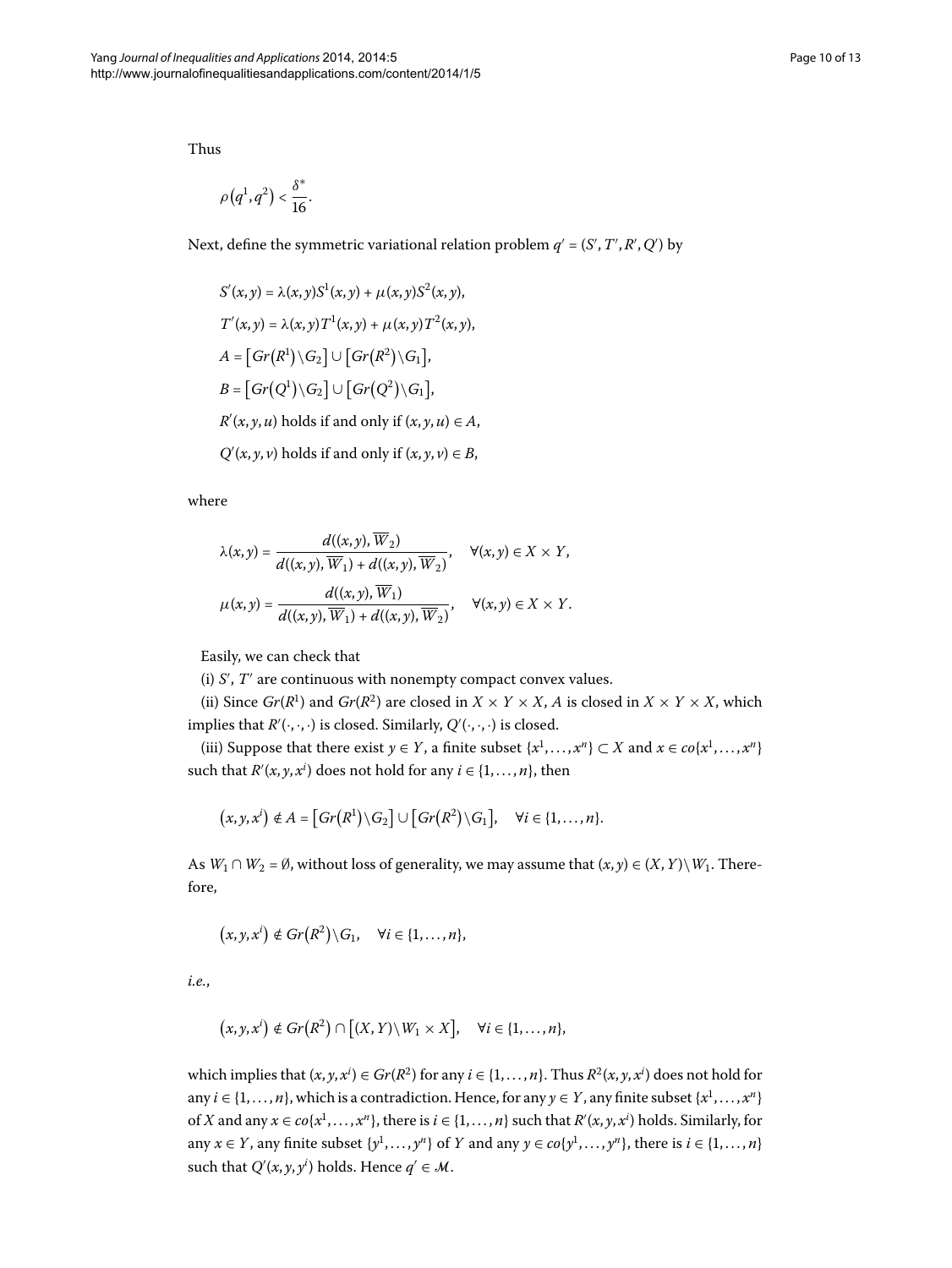Thus

$$
\rho\big(q^1,q^2\big)<\frac{\delta^*}{16}.
$$

Next, define the symmetric variational relation problem  $q' = (S', T', R', Q')$  by

$$
S'(x, y) = \lambda(x, y)S^{1}(x, y) + \mu(x, y)S^{2}(x, y),
$$
  
\n
$$
T'(x, y) = \lambda(x, y)T^{1}(x, y) + \mu(x, y)T^{2}(x, y),
$$
  
\n
$$
A = [Gr(R^{1})\backslash G_{2}] \cup [Gr(R^{2})\backslash G_{1}],
$$
  
\n
$$
B = [Gr(Q^{1})\backslash G_{2}] \cup [Gr(Q^{2})\backslash G_{1}],
$$
  
\n
$$
R'(x, y, u)
$$
 holds if and only if  $(x, y, u) \in A$ ,  
\n
$$
Q'(x, y, v)
$$
 holds if and only if  $(x, y, v) \in B$ ,

where

$$
\lambda(x,y) = \frac{d((x,y), \overline{W}_2)}{d((x,y), \overline{W}_1) + d((x,y), \overline{W}_2)}, \quad \forall (x,y) \in X \times Y,
$$

$$
\mu(x,y) = \frac{d((x,y), \overline{W}_1)}{d((x,y), \overline{W}_1) + d((x,y), \overline{W}_2)}, \quad \forall (x,y) \in X \times Y.
$$

Easily, we can check that

(i)  $S'$ ,  $T'$  are continuous with nonempty compact convex values.

(ii) Since *Gr*( $R$ <sup>1</sup>) and *Gr*( $R$ <sup>2</sup>) are closed in *X* × *Y* × *X*, *A* is closed in *X* × *Y* × *X*, which implies that  $R'(\cdot,\cdot,\cdot)$  is closed. Similarly,  $Q'(\cdot,\cdot,\cdot)$  is closed.

(iii) Suppose that there exist *y* ∈ *Y*, a finite subset { $x$ <sup>1</sup>,..., $x$ <sup>*n*</sup>} ⊂ *X* and  $x \in co\{x$ <sup>1</sup>,..., $x$ <sup>*n*</sup>} such that  $R'(x, y, x^i)$  does not hold for any  $i \in \{1, ..., n\}$ , then

$$
(x, y, x^i) \notin A = [Gr(R^1)\setminus G_2] \cup [Gr(R^2)\setminus G_1], \quad \forall i \in \{1, ..., n\}.
$$

As  $W_1 \cap W_2 = \emptyset$ , without loss of generality, we may assume that  $(x, y) \in (X, Y) \setminus W_1$ . Therefore,

$$
(x, y, xi) \notin Gr(R2) \setminus G_1, \quad \forall i \in \{1, ..., n\},
$$

*i.e.*,

$$
(x,y,x^i) \notin Gr(R^2) \cap [(X,Y) \setminus W_1 \times X], \quad \forall i \in \{1,\ldots,n\},\
$$

which implies that  $(x, y, x^i) \in Gr(R^2)$  for any  $i \in \{1, ..., n\}$ . Thus  $R^2(x, y, x^i)$  does not hold for any  $i \in \{1, \ldots, n\}$ , which is a contradiction. Hence, for any  $\gamma \in Y$ , any finite subset  $\{x^1, \ldots, x^n\}$ of *X* and any  $x \in co\{x^1, \ldots, x^n\}$ , there is  $i \in \{1, \ldots, n\}$  such that  $R'(x, y, x^i)$  holds. Similarly, for any  $x \in Y$ , any finite subset  $\{y^1, \ldots, y^n\}$  of  $Y$  and any  $y \in co\{y^1, \ldots, y^n\}$ , there is  $i \in \{1, \ldots, n\}$ such that  $Q'(x, y, y^i)$  holds. Hence  $q' \in M$ .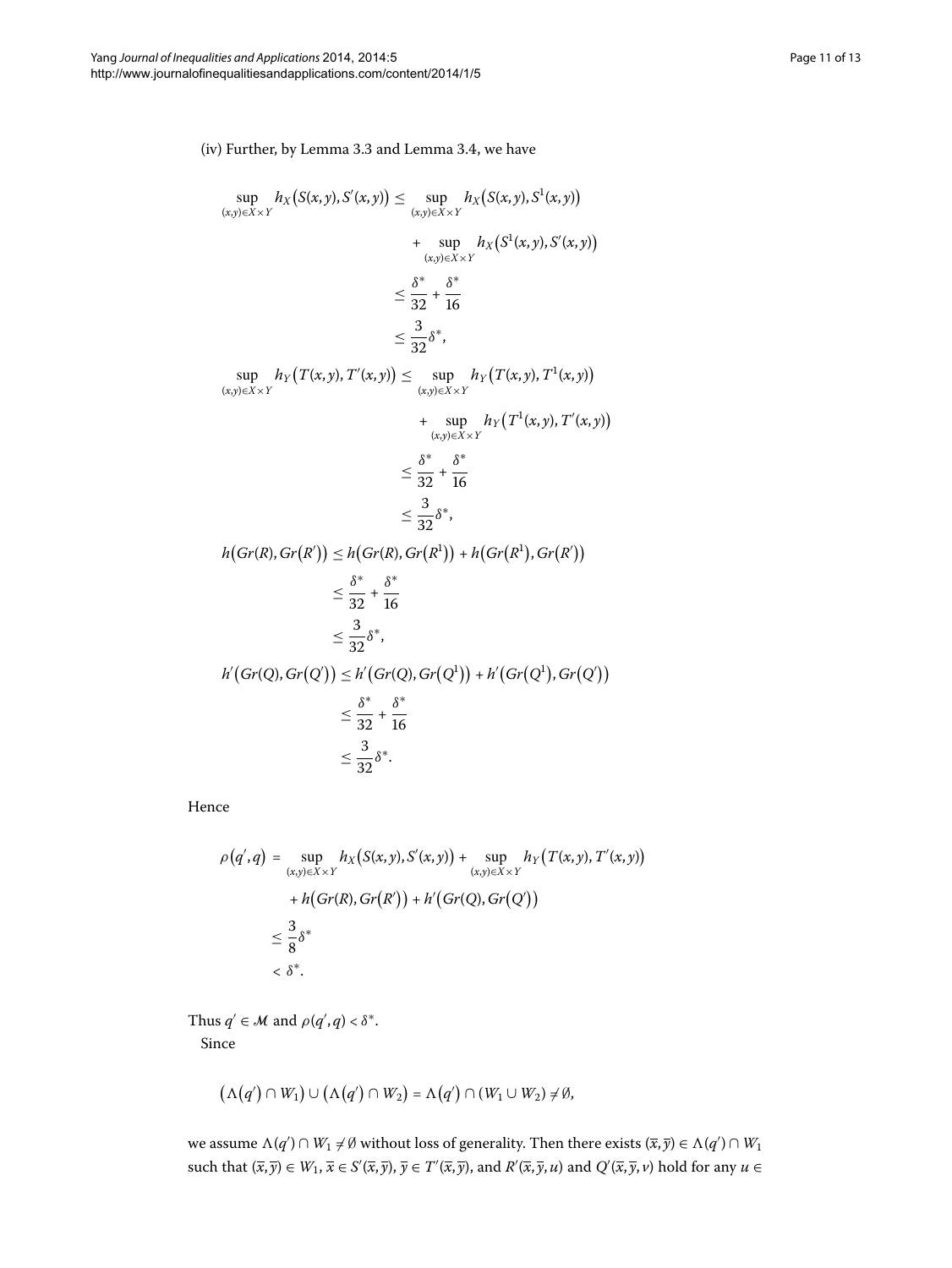(iv) Further, by Lemma 3[.](#page-6-3)3 and Lemma 3.4, we have

$$
\sup_{(x,y)\in X\times Y} h_X(S(x,y), S'(x,y)) \leq \sup_{(x,y)\in X\times Y} h_X(S(x,y), S^1(x,y)) \n+ \sup_{(x,y)\in X\times Y} h_X(S^1(x,y), S'(x,y)) \n\leq \frac{\delta^*}{32} + \frac{\delta^*}{16} \n\leq \frac{3}{32} \delta^*, \n\sup_{(x,y)\in X\times Y} h_Y(T(x,y), T'(x,y)) \leq \sup_{(x,y)\in X\times Y} h_Y(T(x,y), T^1(x,y)) \n+ \sup_{(x,y)\in X\times Y} h_Y(T^1(x,y), T'(x,y)) \n\leq \frac{\delta^*}{32} + \frac{\delta^*}{16} \n\leq \frac{3}{32} \delta^*, \n h(Gr(R), Gr(R')) \leq h(Gr(R), Gr(R^1)) + h(Gr(R^1), Gr(R')) \n\leq \frac{\delta^*}{32} + \frac{\delta^*}{16} \n\leq \frac{3}{32} \delta^*, \n h'(Gr(Q), Gr(Q')) \leq h'(Gr(Q), Gr(Q^1)) + h'(Gr(Q^1), Gr(Q')) \n\leq \frac{\delta^*}{32} + \frac{\delta^*}{16} \n\leq \frac{3}{32} \delta^*.
$$

Hence

$$
\rho(q',q) = \sup_{(x,y)\in X\times Y} h_X(S(x,y),S'(x,y)) + \sup_{(x,y)\in X\times Y} h_Y(T(x,y),T'(x,y))
$$
  
+ 
$$
h(Gr(R),Gr(R')) + h'(Gr(Q),Gr(Q'))
$$
  

$$
\leq \frac{3}{8}\delta^*
$$
  

$$
< \delta^*.
$$

Thus  $q' \in \mathcal{M}$  and  $\rho(q', q) < \delta^*$ .

Since

$$
(\Lambda(q') \cap W_1) \cup (\Lambda(q') \cap W_2) = \Lambda(q') \cap (W_1 \cup W_2) \neq \emptyset,
$$

we assume  $\Lambda(q') \cap W_1 \neq \emptyset$  without loss of generality. Then there exists  $(\overline{x}, \overline{y}) \in \Lambda(q') \cap W_1$ such that  $(\overline{x}, \overline{y}) \in W_1$ ,  $\overline{x} \in S'(\overline{x}, \overline{y})$ ,  $\overline{y} \in T'(\overline{x}, \overline{y})$ , and  $R'(\overline{x}, \overline{y}, u)$  and  $Q'(\overline{x}, \overline{y}, v)$  hold for any  $u \in$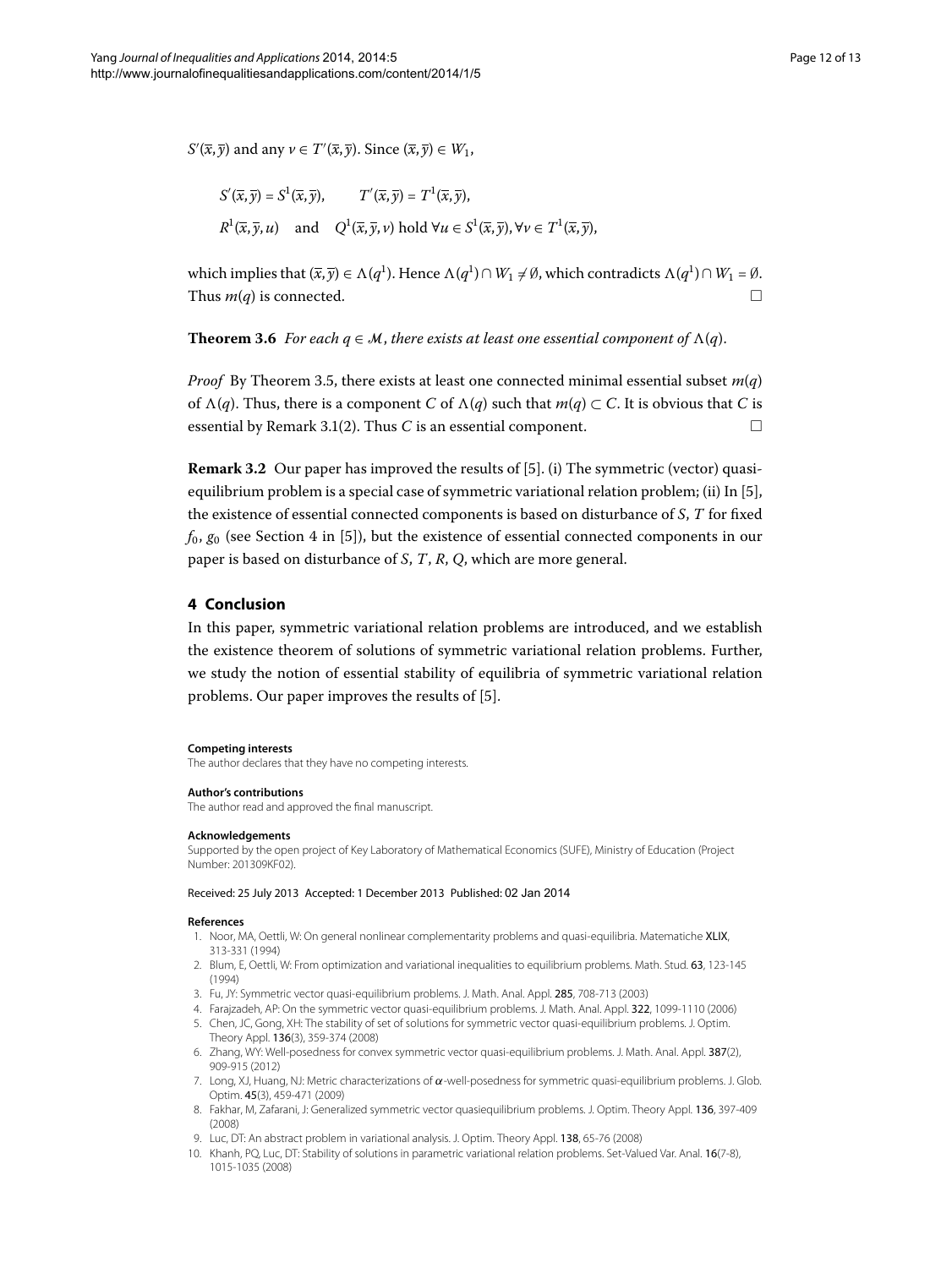$S'(\overline{x}, \overline{y})$  and any  $\nu \in T'(\overline{x}, \overline{y})$ . Since  $(\overline{x}, \overline{y}) \in W_1$ ,

$$
S'(\overline{x}, \overline{y}) = S^1(\overline{x}, \overline{y}), \qquad T'(\overline{x}, \overline{y}) = T^1(\overline{x}, \overline{y}),
$$
  

$$
R^1(\overline{x}, \overline{y}, u) \quad \text{and} \quad Q^1(\overline{x}, \overline{y}, v) \text{ hold } \forall u \in S^1(\overline{x}, \overline{y}), \forall v \in T^1(\overline{x}, \overline{y}),
$$

which implies that  $(\bar{x}, \bar{y}) \in \Lambda(q^1)$ . Hence  $\Lambda(q^1) \cap W_1 \neq \emptyset$ , which contradicts  $\Lambda(q^1) \cap W_1 = \emptyset$ . Thus  $m(q)$  is connected.

**Theorem 3.6** For each  $q \in M$ , there exists at least one essential component of  $\Lambda(q)$ .

*Proof* By Theorem 3[.](#page-8-0)5, there exists at least one connected minimal essential subset  $m(q)$ of  $\Lambda(q)$ . Thus, there is a component *C* of  $\Lambda(q)$  such that  $m(q) \subset C$ . It is obvious that *C* is essential by Remark 3.1(2). Thus *C* is an essential component.  $\Box$ 

**Remark 3.2** Our paper has improved the results of [5]. (i) The symmetric (vector) quasi-equilibrium problem is a special case of symmetric variational relation problem; (ii) In [5[\]](#page-11-4), the existence of essential connected components is based on disturbance of *S*, *T* for fixed  $f_0$ ,  $g_0$  (see Section 4 in [5[\]](#page-11-4)), but the existence of essential connected components in our paper is based on disturbance of *S*, *T*, *R*, *Q*, which are more general.

#### **4 Conclusion**

In this paper, symmetric variational relation problems are introduced, and we establish the existence theorem of solutions of symmetric variational relation problems. Further, we study the notion of essential stability of equilibria of symmetric variational relation problems. Our paper improves the results of [5].

#### **Competing interests**

The author declares that they have no competing interests.

#### <span id="page-11-0"></span>**Author's contributions** The author read and approved the final manuscript.

#### <span id="page-11-1"></span>**Acknowledgements**

<span id="page-11-3"></span><span id="page-11-2"></span>Supported by the open project of Key Laboratory of Mathematical Economics (SUFE), Ministry of Education (Project Number: 201309KF02).

#### <span id="page-11-4"></span>Received: 25 July 2013 Accepted: 1 December 2013 Published: 02 Jan 2014

#### <span id="page-11-5"></span>**References**

- 1. Noor, MA, Oettli, W: On general nonlinear complementarity problems and quasi-equilibria. Matematiche XLIX, 313-331 (1994)
- <span id="page-11-6"></span>2. Blum, E, Oettli, W: From optimization and variational inequalities to equilibrium problems. Math. Stud. 63, 123-145 (1994)
- <span id="page-11-7"></span>3. Fu, JY: Symmetric vector quasi-equilibrium problems. J. Math. Anal. Appl. 285, 708-713 (2003)
- <span id="page-11-8"></span>4. Farajzadeh, AP: On the symmetric vector quasi-equilibrium problems. J. Math. Anal. Appl. 322, 1099-1110 (2006)
- 5. Chen, JC, Gong, XH: The stability of set of solutions for symmetric vector quasi-equilibrium problems. J. Optim. Theory Appl. 136(3), 359-374 (2008)
- 6. Zhang, WY: Well-posedness for convex symmetric vector quasi-equilibrium problems. J. Math. Anal. Appl. 387(2), 909-915 (2012)
- 7. Long, XJ, Huang, NJ: Metric characterizations of *α*-well-posedness for symmetric quasi-equilibrium problems. J. Glob. Optim. 45(3), 459-471 (2009)
- 8. Fakhar, M, Zafarani, J: Generalized symmetric vector quasiequilibrium problems. J. Optim. Theory Appl. 136, 397-409 (2008)
- 9. Luc, DT: An abstract problem in variational analysis. J. Optim. Theory Appl. 138, 65-76 (2008)
- 10. Khanh, PQ, Luc, DT: Stability of solutions in parametric variational relation problems. Set-Valued Var. Anal. 16(7-8), 1015-1035 (2008)